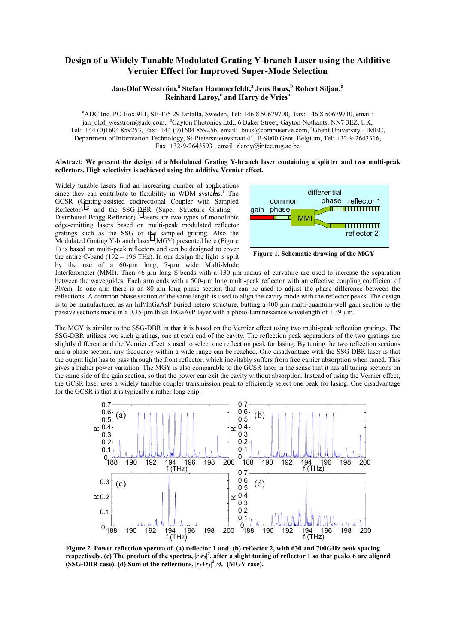## **Design of a Widely Tunable Modulated Grating Y-branch Laser using the Additive Vernier Effect for Improved Super-Mode Selection**

## $J$ an-Olof Wesström, $^a$  Stefan Hammerfeldt, $^a$  Jens Buus, $^b$  Robert Siljan, $^a$ **Reinhard Laroy,<sup>c</sup> and Harry de Vries<sup>a</sup>**

a ADC Inc. PO Box 911, SE-175 29 Jarfalla, Sweden, Tel: +46 8 50679700, Fax: +46 8 50679710, email: jan\_olof\_wesstrom@adc.com, bGayton Photonics Ltd., 6 Baker Street, Gayton Nothants, NN7 3EZ, UK, Tel: +44 (0)1604 859253, Fax: +44 (0)1604 859256, email: buus@compuserve.com, c Ghent University - IMEC, Department of Information Technology, St-Pietersnieuwstraat 41, B-9000 Gent, Belgium, Tel: +32-9-2643316, Fax:  $+32-9-2643593$ , email: rlaroy@intec.rug.ac.be

## **Abstract: We present the design of a Modulated Grating Y-branch laser containing a splitter and two multi-peak reflectors. High selectivity is achieved using the additive Vernier effect.**

Widely tunable lasers find an increasing number of applications since they can contribute to flexibility in WDM syste[m](#page-1-0)s.<sup>1</sup> The GCSR (Grating-assisted codirectional Coupler with Sampled Reflector)  $2$  and the SSG-DBR (Super Structure Grating – Distributed Bragg Reflector) 3 [l](#page-1-0)asers are two types of monolithic edge-emitting lasers based on multi-peak modulated reflector gratings such as the SSG or the sampled grating. Also the Modulated Grating Y-branch laser $4 \text{ (MGY)}$  $4 \text{ (MGY)}$  presented here (Figure 1) is based on multi-peak reflectors and can be designed to cover the entire C-band  $(192 - 196 \text{ THz})$ . In our design the light is split by the use of a 60-µm long, 7-µm wide Multi-Mode



**Figure 1. Schematic drawing of the MGY** 

Interferometer (MMI). Then 46-µm long S-bends with a 130-µm radius of curvature are used to increase the separation between the waveguides. Each arm ends with a 500-µm long multi-peak reflector with an effective coupling coefficient of 30/cm. In one arm there is an 80-um long phase section that can be used to adjust the phase difference between the reflections. A common phase section of the same length is used to align the cavity mode with the reflector peaks. The design is to be manufactured as an InP/InGaAsP buried hetero structure, butting a 400 µm multi-quantum-well gain section to the passive sections made in a 0.35-µm thick InGaAsP layer with a photo-luminescence wavelength of 1.39 µm.

The MGY is similar to the SSG-DBR in that it is based on the Vernier effect using two multi-peak reflection gratings. The SSG-DBR utilizes two such gratings, one at each end of the cavity. The reflection peak separations of the two gratings are slightly different and the Vernier effect is used to select one reflection peak for lasing. By tuning the two reflection sections and a phase section, any frequency within a wide range can be reached. One disadvantage with the SSG-DBR laser is that the output light has to pass through the front reflector, which inevitably suffers from free carrier absorption when tuned. This gives a higher power variation. The MGY is also comparable to the GCSR laser in the sense that it has all tuning sections on the same side of the gain section, so that the power can exit the cavity without absorption. Instead of using the Vernier effect, the GCSR laser uses a widely tunable coupler transmission peak to efficiently select one peak for lasing. One disadvantage for the GCSR is that it is typically a rather long chip.



**Figure 2. Power reflection spectra of (a) reflector 1 and (b) reflector 2, with 630 and 700GHz peak spacing**  respectively. (c) The product of the spectra,  $|r_1r_2|^2$ , after a slight tuning of reflector 1 so that peaks 6 are aligned **(SSG-DBR case).** (d) Sum of the reflections,  $|r_1+r_2|^2/4$ , (MGY case).